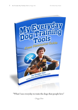

**"What I use everyday to train the dogs that people love"**

 *- Doggy Dan*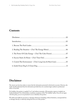### **Contents**

| 3. The Power Of Calm Energy - (Tool: The Calm Freeze)07        |  |
|----------------------------------------------------------------|--|
|                                                                |  |
| 5. Control The Environment - (Tools: Long Line & Short Line)10 |  |
|                                                                |  |

## **Disclaimer**

The utmost care has been taken to ensure that the information presented in this book is accurate. However, the reader should understand that the information provided does not constitute legal, medical or professional advice of any kind.

No Liability: this product is supplied "as is" and without warranties. All warranties, express or implied, are hereby disclaimed. Use of this product constitutes acceptance of the "No Liability" policy. If you do not agree with this policy, you are not permitted to use or distribute this product.

We shall not be liable for any losses or damages whatsoever (including, without limitation, consequential loss or damage) directly or indirectly arising from the use of this product.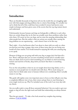## **Introduction**

There are literally thousands of dog lovers all over the world who are struggling right now with their puppy and dog problems due to a lack of knowledge. It's actually very sad to think that all of this could have been avoided if owners had known some simple techniques and been given some of the secrets that the top dog trainers know and understand.

Unfortunately, because humans and dogs are biologically so diferent to each other, there are certain things that we do that can actually cause these problems rather than solve them. Of course we love our dogs, and we want the amazing relationships that other people have. But the reality is that our actions are actually often causing the dog problems we are experiencing… and it doesn't have to be this way.

That's right  $-$  if you had known what I am about to share with you early on, when you frst got your dog or puppy, then none of these issues that you are facing now would ever have started. You would instead be enjoying life with your amazing dog as we speak.

However if things are not going well with your dog or puppy don't feel that all is lost. There's still hope that you can turn everything around and it's actually easier than you think. Even if you've tried everything you can think of, tried several dog trainers and read lots of books, deep down you know that there is something missing.

You see the real problem is that we are not taught about how dogs think, so it's a mystery to most people how we should work with them. We're stuck trying out tactics that we think make sense to humans without ever considering what it actually means to our dog.

This guide will explain some very important areas to focus on that will give your dog a completely diferent view of you, their owner and get them to start listening to every single word you say. Plus I've included some of the tools I use every day with my clients.

Are you really ready to stop all those unwanted behaviors? Are you ready to get your puppy or dog of onto the right track and build that relationship you always dreamt of?

Then lets get started... To take a free look around my complete dog training solution: [CLICK HERE](http://radyx.doggyd4n.hop.clickbank.net/?tid=asl_todt_medtt_v9_1d)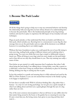### **1. Become The Pack Leader**



Of all the things that's going to help you to stop any unwanted behavior and develop the relationship with your dog that you have always dreamt of is understanding how to become the pack leader. This is the fundamental principle of my dog training method, and must be in place to experience the full impact of my everyday tools and techniques.

Dogs are pack animals, so they understand that there are leaders and followers in their pack, which includes you. Knowing how to communicate to your dog the clear message that you are the pack leader and you make all the decisions is not difficult however it is something that is not widely taught.

Without this basic foundation in place you could spend the rest of your life trying to train your dog, reading books, going to diferent trainers and wondering what is going wrong. You may even think that your dog is stupid or deliberately trying to annoy you. When all along in your dogs mind you were simply not the pack leader and so they did not see why they should listen to you. Thus any training was really a waste of time.

Now before we get started it is really important that I emphasize that when I talk about being the pack leader I am talking about a loving leader, more like a parent to a child than a mean boss! Using my method there is absolutely no place for shouting, hitting, kicking your dog or causing any fear or pain.

In fact this method is so gentle and amazing that it is fully endorsed and used by the SPCA of New Zealand, so you can rest assured that everyone in the family is going to be happy to implement it.

So how does it actually work? Well it's all about thinking like a dog rather than a human – in a way it is sort of dog psychology. Let me give you a quick example of what I am talking about and show you a quick glimpse through the eyes of a dog rather than our own.

One of the most common misconceptions is that an old bone (or any edible chew for that matter) lying around in the house or the garden has no meaning for your dog. It's just a treat that you, the loving owner, have given to your dog and they don't want it…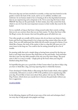Now your dog may not have touched it in months, or they may have buried it in the garden or down the back of the couch, and to us it is rubbish, worthless and irrelevant. In our human minds it has no bearing at all on the dog behavioral issues that we are experiencing and so desperate to fx. Yet to your dog this bone is their PROOF that they are the pack leader. In their minds, since they control the food, which is one of, if not the most important resource in their world, they must be the leader!

So in a nutshell, as long as that bone is lying around under their control, nothing that you do can convince them that you are their master. To them that bone is like the King's crown, the treasure chest and the golden goose all rolled into one.

Very often people are actually told by trainers who do not know any better to leave bones and food toys lying around to try to keep your dog content when they are left alone. Now you will understand that whilst this all sounds very good in theory, if you think like a human, the truth of the matter is that to a dog this will cause you a lot more issues in the long run. You could in fact be setting yourself up for a lot of trouble.

Its amazing really that such a simple thing as leaving bones around for the dog can lead to such huge issues because they think they are the pack leader. And remember that this is just one tiny little example of the way your dog views things. The good news is that is so easy to rectify – simply pick up the bones when your dog has fnished eating them! Easy.

So hopefully that gives you a good idea of what I mean when I say that to help a dog you have to think like a dog, and stop expecting them to think like humans.

I have developed 5 Golden Rules to Becoming the Pack Leader which, when applied consistently, will remove as much as 95% of the problems you're experiencing with your dog. If you'd like to learn more about them, please visit my site, The Online Dog Trainer, which shows you exactly how to become the pack leader without any fear or aggression:

#### [CLICK HERE](http://radyx.doggyd4n.hop.clickbank.net/?tid=asl_todt_medtt_v9_1d)

In the following chapters we'll look at just some of the tools and techniques that I use every day to help people train puppies and dogs.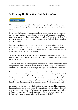### **2. Reading The Situation** (*Tool*: The Energy Meter)

Energy Meter (2)

One of the most important tricks of the trade in dog training is learning to pick up on the very subtle message that your dog is giving you when you are working with them.

Dogs – just like humans – have emotions, however they are unable to communicate the way we are used to. So when they are stressed, bored, frustrated or scared they exhibit signs expressing these emotions but obviously can't use spoken English. This presents a problem for them if we simply ignore them and plough ahead regardless with our training.

Learning to read your dog means that you are able to adjust anything you do in training to suit their specifc situation. Now this may sound quite straight forward yet one of the big issues that I have found with people's training routines is that the dog is simply not coping with the situation.

When your dog becomes too excited, fearful, or focused, something happens that means that nothing that you do is going to work. Put very simply, you could say that the adrenalin kicks in.

Adrenalin is produced in your dog's brain during stressful times leading to the fightor-fght response that they have. Either they will try to run away or it's time to stay and fght. Neither of which are very helpful when you are trying to train your dog!

So one trick when working with your dog or puppy is to avoid this state no matter what. And one way that helps is if you think of what I call an Energy Meter, which goes from 1 up to 10. I call it the Energy Meter because when your dog is asleep they are down at a level 1 and when adrenalin kicks in they are up at around 8-10. Now the problem is, in many situations people are trying to train their dogs and alter their behavior when the dog's energy level is up at around  $6-8$ . This is simply too high.

As soon as your dog gets a blast of adrenalin everything goes bang! Breathing rate increases, heart rate increases, muscles tighten and go to work overtime... The leash goes tight and you are almost pulled over, their eyes are on stalks, they start barking and running around out of control. If you are inside the house your dog could be barking madly at the window, barking or shaking under the bed…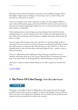The bottom line is that their behavior is not good. It has suddenly changed. This is their fight or fght response kicking in. If your dog is not on a leash at this point then they are off and out of control.

As you can imagine, none of this is pleasant to watch. So what happens? Well we start to become frustrated, angry, and annoyed with the situation and sometimes our dog and our reactions simply make things worse. It is a viscous cycle and our training goes nowhere or backwards.

Understanding that you need to keep your dog well away from level 8 where the adrenalin kicks in is crucial. And here is the secret. When you take things slowly to start with, and your dog gets used to things at a slightly slower pace then the pay of later on is huge.

Learn to work with your dog in the calm zone from 1-5 and take things slowly to start with. If you are in this zone and your dog sees something that gets them excited they will be aware of it however they will only end up at say a level 6 or 7. Since no adrenalin kicks in they will calm down really quick again for you – ready to carry on with your training.

If you are really serious about helping your dog, learning to read them in every situation and setting them up to win in every situation then I recommend you take a look at my video series on the Energy Meter, which will help you do just that:

All of this is inside my video website which you can take a quick tour around from here…

[CLICK HERE](http://radyx.doggyd4n.hop.clickbank.net/?tid=asl_todt_medtt_v9_1d)

# **3. The Power Of Calm Energy** (Tool: The Calm Freeze)



Nowadays it seems like everyone is talking about calm energy, but very few people actually have any advice on how to apply it to dogs. In this chapter I want to tell you about one of the most talked about techniques on my website because people are just stunned with how powerful this is when done correctly.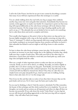I call it the Calm Freeze, but frst let me put it into context by describing a scenario that many of you will have experienced where this technique is so useful.

You are calmly walking down the road with your dog or puppy when suddenly another dog comes into view and grabs their attention. Immediately they become too excited, overly aggressive or maybe very fearful. It is important to point out that every dog will respond diferently yet the calm freeze technique will work whatever their emotional response. On the energy meter your dog is heading rapidly up the scale and is at say, a 7. The adrenalin has not yet kicked in but we need to do something fast to calm them down and avoid a complete melt down.

Now usually what happens at this point is that we then mirror our dog and we too become highly energized, with a tug on the lead, quickly correcting our dog with a "leave it" command. To which our dog responds with more energy and barks or pulls even harder resulting in an increased response from ourselves and before we know it their adrenalin has kicked in and we might as well all go home to calm ourselves down.

So here is where the calm freeze technique comes into play. At the point at which you detect an increase in your dog's energy due to the sighting of another dog, calmly walk your dog a couple of yards away. Then with your back to the other dog as a distraction, crouch down and without a word take your hand palm up, under your dogs chin and lightly hold the collar.

Here are a couple of other important points to make sure that you are doing it correctly. Firstly, you do it all in silence, no talking. Secondly, you hold as lightly as possible, this is not about causing your dog pain. And thirdly, you look away from your dog, down at the ground with a relaxed expression. Your dog will read you like a book and will very likely be stunned into silence! Once they are calm then you simply loosen your grip and gently let go, stand up and carry on walking, leaving them in that calm state of 2 or 3 on the energy scale.

Now if you try this and they take no notice of you then that is because they are the pack leader and not you. So it's time to get the basics put in place frst.

So you may be thinking, is that it? And the answer is absolutely Yes! But remember, the beauty of this technique and this whole method lies in its simplicity. You see our thoughts, our words and our actions are all important and when we align all three we become very powerful. If you only shout the words "Calm Down" at your dog but you are still stressed and pulling aggressively on the lead your dog will not respond calmly – they will refect back your energy.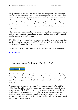So by putting your own mind into a calm state, by staying silent, demonstrating a calm behavior by crouching down and turning away, your dog will understand your communication very clearly. As they say, actions really do speak louder than words. This is just one technique which when used in conjunction with all the other tools can be part of that magical moment when your dog starts to take notice of you. The great thing about the calm freeze is that you can do it anywhere both inside and outside and it doesn't require another piece of equipment. Just your hand and your dogs collar.

There are so many situations where you can use the calm freeze with dramatic success such as when your dog is barking in the house at somebody outside or if your dog is shaking and scared of the freworks.

Now I have done my best to describe how to do this technique, but actually watching me do it will make it much more real. You'll really 'get it'. Plus you'll also be able to see for yourself how the dogs I apply it to respond.

To find out more about my website, and watch the The Calm Freeze videos inside:

[CLICK HERE](http://radyx.doggyd4n.hop.clickbank.net/?tid=asl_todt_medtt_v9_1d)

### **4. Success Starts At Home (***Tool***: Time Out)**



Sometimes the simplest things are the most powerful and it is so true of this dog training technique that I am about to share with you now. It is such a simple tool and we all have it already set up in our homes ready to use, however very few people actually use it properly. Let me describe the situation where it can be used so efectively.

Your dog jumps up on your new couch. You shout very calmly "FIDO OFF" to which Fido obeys. However a few seconds later he is back up on the couch staring straight at you. "FIDO OFF" you reply in your now rather stressed voice. Somehow you know that it is not working, however there seems to be very few alternatives. Over the course of the next few minutes Fido succeeds in winding you up like a grandfather clock resulting in you shouting your head off at him and chasing him all over the room. Sound familiar?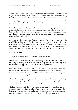Well the great news is that it doesn't have to be that way and here's why. One of the biggest reasons that dogs do not change their behavior is that we are actually training them to continue the old patterns. Let me explain. Fido very likely did not actually want to sleep on the couch as much as he wanted some attention. And our technique of shouting at him, getting frustrated and chasing Fido around the room gave him all the attention he could have wished for and more!

Now when you become the pack leader your dog or puppy is going to be far more respectful of you. Put very simply they are not going to jump all over the couch knowing that you do not want them up there. However when your dog thinks that they should be running the show you will run into more areas of contention than you could possible would wish for.

So what is our alternative option for dealing with our dog when they jump up on the couch? Here is the solution. The first time they jump up, take them very calmly and place them on the foor without a word being spoken. If they jump up again you take them by the collar and put them in Time Out. Close the door on them and walk away. When they are quiet you can let them out, but make sure you ignore them.

It's as simple as that.

A couple of points to cover off some questions you may face.

Firstly, if you are concerned that you can't catch your dog because they are too fast then carry on reading. In the next chapter I shall explain how to ensure that your dog no longer has the upper hand on you in the speed department!

Secondly. Your time out room needs to be safe for your dog and secure. Usually a bathroom or toilet works well as they have few windows and are quite small. Remember when your dog is in Time Out they are not supposed to be having fun, so sometimes outside in the garden is not the best option.

Thirdly. If your dog is barking you really want to wait until they stop before letting them out. If they are quiet then a couple of minutes is usually long enough frst time round for them to think twice about doing it again.

The beauty of time out is that you no longer have to enter the cycle of becoming stressed, shouting and frustrated. Let's face it, nobody enjoys shouting at their dog. In fact shouting your dog's name when they have done something wrong can quickly ruin your chances of them coming to you when you call them at the park.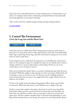Time Out can be used efectively for so many training issues as I demonstrate in my videos. It is simply a better choice of deterring unwanted behaviors than physically becoming aggressive to your dog or shouting.

Take a look around my complete puppy training and dog training solution:

#### [CLICK HERE](http://radyx.doggyd4n.hop.clickbank.net/?tid=asl_todt_medtt_v9_1d)

#### **5. Control The Environment (***Tools***: the Long Line and the Short Line)**



In the last section we talked about Fido running rings around you in the home. I have seen it so many times and it is often quite funny to start with. From little fufy white dogs to great big clumsy dogs, they have this knack of staying out of our reach when we want to grab them.

In this chapter I want to talk about the importance of controlling the environment when we are training our dogs. It is equally true when we are outside and we want to change a behavior or stop our dogs doing a certain thing. If they are out of our control there is not a lot that we can do.

Have you ever heard the saying "there is no point in shutting the gate after the horse has bolted"? Well this applies to dog training too. Once your dog is off the leash and is refusing to come to you there is not a lot that you can do. Similarly inside the home the dog that does not want to be caught will not be caught. Well at least not without a lot of effort.

So here is the simple tactic that all good dog trainers follow. Keep control of the environment. What does this mean to you? Well here are a couple of key tips.

Firstly, it means that outside at the park or the beach do not let your dog off the leash unless either, you have a good recall and you know that your dog will come back when you call them, or leave a line on your dog so that you can catch them again easier. The line could be anywhere from 2-30 meters long depending on your dog and the situation that you are facing. You attach it to your dog and then drop it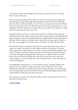on the ground. Then when they get too far away you simply stand on it and train them to stay close by you.

Now you may be thinking, Oh no that's not much fun! I don't want my dog to be the only dog running around with a line attached to them for the rest of their life, however this is not forever! Inside my site I show you a dog who is never let off leash because he runs away and in less than an hour we have him coming back to us every single time off leash. However you will see that to start with I use a long line to make sure that I succeed and set him up to win.

Secondly, inside your home you also need to be able to catch your dog easily and calmly during training. Again, attach a short line to them when you are working with them or trying to stop an unwanted behavior and suddenly all the silly chasing games will stop. Now I would not use their lead as this will be too heavy and the loop on the end can get caught up on things, rather a thin piece of string will do just fne.

The short line that you should use inside the house will only need to be a meter, or maybe two, long. You attach it to their collar and drop it on the floor. They then drag it around, most dogs will not even notice it's there and suddenly the tables have turned. Trying to catch your dog becomes the easiest thing in the world! No more screaming, shouting and chasing them. Instead you can calmly walk over towards them, stand on the line and before they even know it you have them under your control. Again it is only a training tool, and not needed forever, only when they are in the learning phase.

Controlling the environment is a very important concept. It changes things from being out of your control to being under your control. Only then can you start training your dog! Of course before any of this training takes place you need to have won your dogs mind and convinced them that you are the pack leader and that they are the follower rather than the other way round.

I encourage you to take a tour around my video website which shows you how to do all of this and much more:

[CLICK HERE](http://radyx.doggyd4n.hop.clickbank.net/?tid=asl_todt_medtt_v9_1d)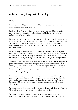# **6. Inside Every Dog Is A Great Dog**

#### Hi there,

If you are reading this, then some of what I have talked about must have struck a chord with you and that's great news.

I'm Doggy Dan. As a dog trainer with a huge passion for dogs I have a burning desire to share my knowledge to help make the world a better place for us all, including our beloved friends.

I believe that inside every dog is a good dog and inside every good dog is a great dog. It is a simple statement, but one that I've found to be true with every dog, every time. Working with thousands of dogs all over the country I have seen the most difficult of situations turn around when we choose to understand our dogs rather than train them through force.

Becoming the pack leader in a kind and gentle way is an absolutely crucial part of this and it is those secrets that I hold close to my heart that I want to share with you. It's these secrets of becoming the pack leader that your dog is looking for. Without them in place your dog will always see you as a follower and you will always struggle.

Whatever situation you are in there is an answer and it is often so much simpler than you care to imagine. Do not worry that your problem seems to be diferent from anything else you have seen, that your dog is older, or your issue only occurs when you are not home, or it appears to be random, or breed specific. The method that I would like to show you treats the cause of the problem, and when you do this the issue so often simply disappears all on its own.

If you are serious about sorting out your dogs behavioral issues and training your puppy up right from the start don't be tempted to try some fancy gadget that will only back fre on you later on. Learn that the real secret to success is YOU and having the skills and knowledge to get your dog to trust, respect and love you for who you are.

When you become the best pack leader that you can be they will chose to follow you. There will be no more need for shouting and scaring your dog.

When you chose your puppy or dog you had a certain relationship in mind. A wonderful, mutually benefcial relationship where things were not a strain and you